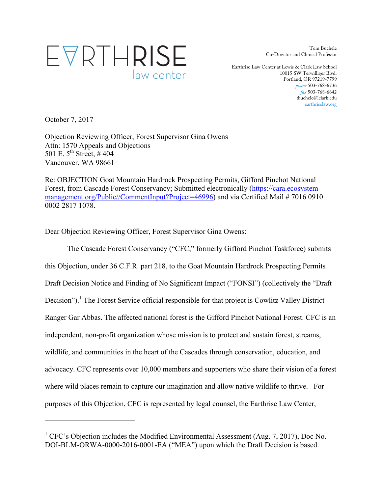# EVRTHRISE law center

Tom Buchele Co-Director and Clinical Professor

Earthrise Law Center at Lewis & Clark Law School 10015 SW Terwilliger Blvd. Portland, OR 97219-7799 *phone* 503-768-6736 *fax* 503-768-6642 tbuchele@lclark.edu earthriselaw.org

October 7, 2017

l

Objection Reviewing Officer, Forest Supervisor Gina Owens Attn: 1570 Appeals and Objections 501 E.  $5^{th}$  Street, #404 Vancouver, WA 98661

Re: OBJECTION Goat Mountain Hardrock Prospecting Permits, Gifford Pinchot National Forest, from Cascade Forest Conservancy; Submitted electronically (https://cara.ecosystemmanagement.org/Public//CommentInput?Project=46996) and via Certified Mail # 7016 0910 0002 2817 1078.

Dear Objection Reviewing Officer, Forest Supervisor Gina Owens:

The Cascade Forest Conservancy ("CFC," formerly Gifford Pinchot Taskforce) submits this Objection, under 36 C.F.R. part 218, to the Goat Mountain Hardrock Prospecting Permits Draft Decision Notice and Finding of No Significant Impact ("FONSI") (collectively the "Draft Decision").<sup>1</sup> The Forest Service official responsible for that project is Cowlitz Valley District Ranger Gar Abbas. The affected national forest is the Gifford Pinchot National Forest. CFC is an independent, non-profit organization whose mission is to protect and sustain forest, streams, wildlife, and communities in the heart of the Cascades through conservation, education, and advocacy. CFC represents over 10,000 members and supporters who share their vision of a forest where wild places remain to capture our imagination and allow native wildlife to thrive. For purposes of this Objection, CFC is represented by legal counsel, the Earthrise Law Center,

 $1$  CFC's Objection includes the Modified Environmental Assessment (Aug. 7, 2017), Doc No. DOI-BLM-ORWA-0000-2016-0001-EA ("MEA") upon which the Draft Decision is based.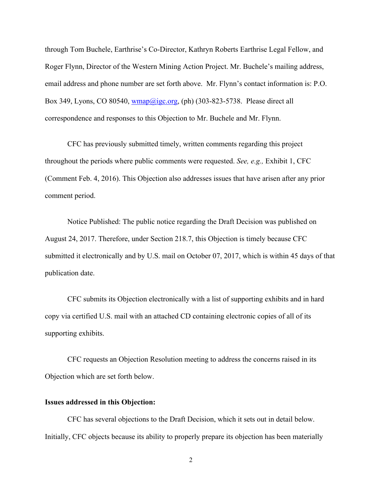through Tom Buchele, Earthrise's Co-Director, Kathryn Roberts Earthrise Legal Fellow, and Roger Flynn, Director of the Western Mining Action Project. Mr. Buchele's mailing address, email address and phone number are set forth above. Mr. Flynn's contact information is: P.O. Box 349, Lyons, CO 80540, wmap@igc.org, (ph) (303-823-5738. Please direct all correspondence and responses to this Objection to Mr. Buchele and Mr. Flynn.

CFC has previously submitted timely, written comments regarding this project throughout the periods where public comments were requested. *See, e.g.,* Exhibit 1, CFC (Comment Feb. 4, 2016). This Objection also addresses issues that have arisen after any prior comment period.

Notice Published: The public notice regarding the Draft Decision was published on August 24, 2017. Therefore, under Section 218.7, this Objection is timely because CFC submitted it electronically and by U.S. mail on October 07, 2017, which is within 45 days of that publication date.

CFC submits its Objection electronically with a list of supporting exhibits and in hard copy via certified U.S. mail with an attached CD containing electronic copies of all of its supporting exhibits.

CFC requests an Objection Resolution meeting to address the concerns raised in its Objection which are set forth below.

#### **Issues addressed in this Objection:**

CFC has several objections to the Draft Decision, which it sets out in detail below. Initially, CFC objects because its ability to properly prepare its objection has been materially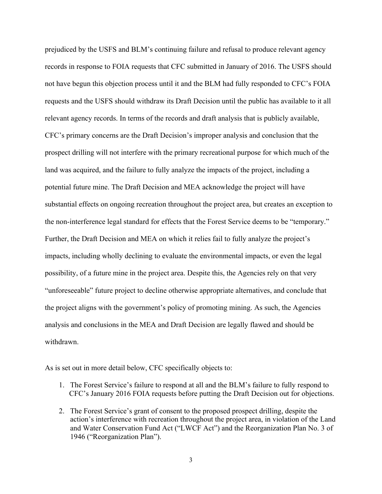prejudiced by the USFS and BLM's continuing failure and refusal to produce relevant agency records in response to FOIA requests that CFC submitted in January of 2016. The USFS should not have begun this objection process until it and the BLM had fully responded to CFC's FOIA requests and the USFS should withdraw its Draft Decision until the public has available to it all relevant agency records. In terms of the records and draft analysis that is publicly available, CFC's primary concerns are the Draft Decision's improper analysis and conclusion that the prospect drilling will not interfere with the primary recreational purpose for which much of the land was acquired, and the failure to fully analyze the impacts of the project, including a potential future mine. The Draft Decision and MEA acknowledge the project will have substantial effects on ongoing recreation throughout the project area, but creates an exception to the non-interference legal standard for effects that the Forest Service deems to be "temporary." Further, the Draft Decision and MEA on which it relies fail to fully analyze the project's impacts, including wholly declining to evaluate the environmental impacts, or even the legal possibility, of a future mine in the project area. Despite this, the Agencies rely on that very "unforeseeable" future project to decline otherwise appropriate alternatives, and conclude that the project aligns with the government's policy of promoting mining. As such, the Agencies analysis and conclusions in the MEA and Draft Decision are legally flawed and should be withdrawn.

As is set out in more detail below, CFC specifically objects to:

- 1. The Forest Service's failure to respond at all and the BLM's failure to fully respond to CFC's January 2016 FOIA requests before putting the Draft Decision out for objections.
- 2. The Forest Service's grant of consent to the proposed prospect drilling, despite the action's interference with recreation throughout the project area, in violation of the Land and Water Conservation Fund Act ("LWCF Act") and the Reorganization Plan No. 3 of 1946 ("Reorganization Plan").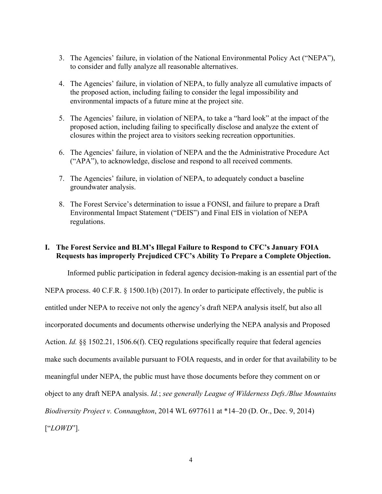- 3. The Agencies' failure, in violation of the National Environmental Policy Act ("NEPA"), to consider and fully analyze all reasonable alternatives.
- 4. The Agencies' failure, in violation of NEPA, to fully analyze all cumulative impacts of the proposed action, including failing to consider the legal impossibility and environmental impacts of a future mine at the project site.
- 5. The Agencies' failure, in violation of NEPA, to take a "hard look" at the impact of the proposed action, including failing to specifically disclose and analyze the extent of closures within the project area to visitors seeking recreation opportunities.
- 6. The Agencies' failure, in violation of NEPA and the the Administrative Procedure Act ("APA"), to acknowledge, disclose and respond to all received comments.
- 7. The Agencies' failure, in violation of NEPA, to adequately conduct a baseline groundwater analysis.
- 8. The Forest Service's determination to issue a FONSI, and failure to prepare a Draft Environmental Impact Statement ("DEIS") and Final EIS in violation of NEPA regulations.

### **I. The Forest Service and BLM's Illegal Failure to Respond to CFC's January FOIA Requests has improperly Prejudiced CFC's Ability To Prepare a Complete Objection.**

Informed public participation in federal agency decision-making is an essential part of the NEPA process. 40 C.F.R. § 1500.1(b) (2017). In order to participate effectively, the public is entitled under NEPA to receive not only the agency's draft NEPA analysis itself, but also all incorporated documents and documents otherwise underlying the NEPA analysis and Proposed Action. *Id.* §§ 1502.21, 1506.6(f). CEQ regulations specifically require that federal agencies make such documents available pursuant to FOIA requests, and in order for that availability to be meaningful under NEPA, the public must have those documents before they comment on or object to any draft NEPA analysis. *Id.*; *see generally League of Wilderness Defs./Blue Mountains Biodiversity Project v. Connaughton*, 2014 WL 6977611 at \*14–20 (D. Or., Dec. 9, 2014) ["*LOWD*"].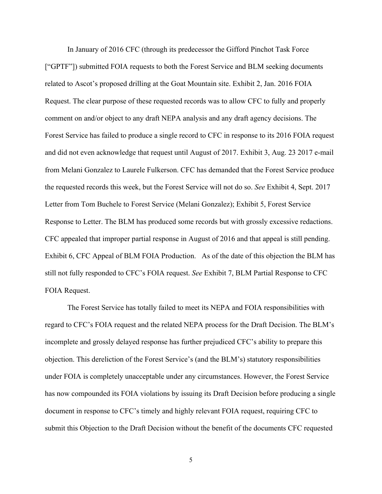In January of 2016 CFC (through its predecessor the Gifford Pinchot Task Force ["GPTF"]) submitted FOIA requests to both the Forest Service and BLM seeking documents related to Ascot's proposed drilling at the Goat Mountain site. Exhibit 2, Jan. 2016 FOIA Request. The clear purpose of these requested records was to allow CFC to fully and properly comment on and/or object to any draft NEPA analysis and any draft agency decisions. The Forest Service has failed to produce a single record to CFC in response to its 2016 FOIA request and did not even acknowledge that request until August of 2017. Exhibit 3, Aug. 23 2017 e-mail from Melani Gonzalez to Laurele Fulkerson. CFC has demanded that the Forest Service produce the requested records this week, but the Forest Service will not do so. *See* Exhibit 4, Sept. 2017 Letter from Tom Buchele to Forest Service (Melani Gonzalez); Exhibit 5, Forest Service Response to Letter. The BLM has produced some records but with grossly excessive redactions. CFC appealed that improper partial response in August of 2016 and that appeal is still pending. Exhibit 6, CFC Appeal of BLM FOIA Production. As of the date of this objection the BLM has still not fully responded to CFC's FOIA request. *See* Exhibit 7, BLM Partial Response to CFC FOIA Request.

The Forest Service has totally failed to meet its NEPA and FOIA responsibilities with regard to CFC's FOIA request and the related NEPA process for the Draft Decision. The BLM's incomplete and grossly delayed response has further prejudiced CFC's ability to prepare this objection. This dereliction of the Forest Service's (and the BLM's) statutory responsibilities under FOIA is completely unacceptable under any circumstances. However, the Forest Service has now compounded its FOIA violations by issuing its Draft Decision before producing a single document in response to CFC's timely and highly relevant FOIA request, requiring CFC to submit this Objection to the Draft Decision without the benefit of the documents CFC requested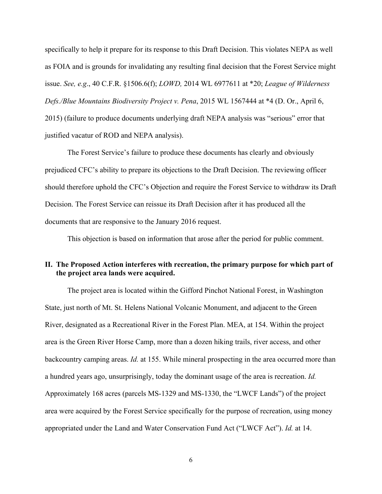specifically to help it prepare for its response to this Draft Decision. This violates NEPA as well as FOIA and is grounds for invalidating any resulting final decision that the Forest Service might issue. *See, e.g*., 40 C.F.R. §1506.6(f); *LOWD,* 2014 WL 6977611 at \*20; *League of Wilderness Defs./Blue Mountains Biodiversity Project v. Pena*, 2015 WL 1567444 at \*4 (D. Or., April 6, 2015) (failure to produce documents underlying draft NEPA analysis was "serious" error that justified vacatur of ROD and NEPA analysis).

The Forest Service's failure to produce these documents has clearly and obviously prejudiced CFC's ability to prepare its objections to the Draft Decision. The reviewing officer should therefore uphold the CFC's Objection and require the Forest Service to withdraw its Draft Decision. The Forest Service can reissue its Draft Decision after it has produced all the documents that are responsive to the January 2016 request.

This objection is based on information that arose after the period for public comment.

### **II. The Proposed Action interferes with recreation, the primary purpose for which part of the project area lands were acquired.**

The project area is located within the Gifford Pinchot National Forest, in Washington State, just north of Mt. St. Helens National Volcanic Monument, and adjacent to the Green River, designated as a Recreational River in the Forest Plan. MEA, at 154. Within the project area is the Green River Horse Camp, more than a dozen hiking trails, river access, and other backcountry camping areas. *Id.* at 155. While mineral prospecting in the area occurred more than a hundred years ago, unsurprisingly, today the dominant usage of the area is recreation. *Id.* Approximately 168 acres (parcels MS-1329 and MS-1330, the "LWCF Lands") of the project area were acquired by the Forest Service specifically for the purpose of recreation, using money appropriated under the Land and Water Conservation Fund Act ("LWCF Act"). *Id.* at 14.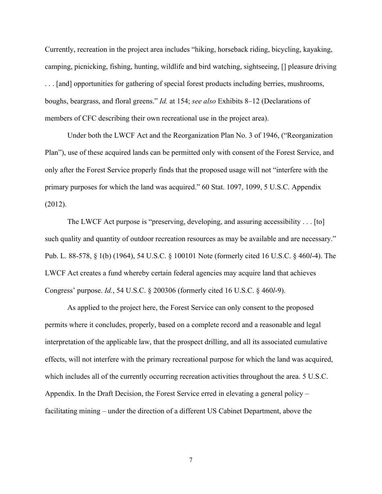Currently, recreation in the project area includes "hiking, horseback riding, bicycling, kayaking, camping, picnicking, fishing, hunting, wildlife and bird watching, sightseeing, [] pleasure driving . . . [and] opportunities for gathering of special forest products including berries, mushrooms, boughs, beargrass, and floral greens." *Id.* at 154; *see also* Exhibits 8–12 (Declarations of members of CFC describing their own recreational use in the project area).

Under both the LWCF Act and the Reorganization Plan No. 3 of 1946, ("Reorganization Plan"), use of these acquired lands can be permitted only with consent of the Forest Service, and only after the Forest Service properly finds that the proposed usage will not "interfere with the primary purposes for which the land was acquired." 60 Stat. 1097, 1099, 5 U.S.C. Appendix (2012).

The LWCF Act purpose is "preserving, developing, and assuring accessibility . . . [to] such quality and quantity of outdoor recreation resources as may be available and are necessary." Pub. L. 88-578, § 1(b) (1964), 54 U.S.C. § 100101 Note (formerly cited 16 U.S.C. § 460*l*-4). The LWCF Act creates a fund whereby certain federal agencies may acquire land that achieves Congress' purpose. *Id.*, 54 U.S.C. § 200306 (formerly cited 16 U.S.C. § 460*l*-9).

As applied to the project here, the Forest Service can only consent to the proposed permits where it concludes, properly, based on a complete record and a reasonable and legal interpretation of the applicable law, that the prospect drilling, and all its associated cumulative effects, will not interfere with the primary recreational purpose for which the land was acquired, which includes all of the currently occurring recreation activities throughout the area. 5 U.S.C. Appendix. In the Draft Decision, the Forest Service erred in elevating a general policy – facilitating mining – under the direction of a different US Cabinet Department, above the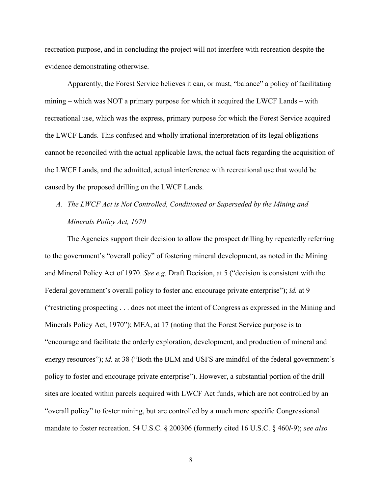recreation purpose, and in concluding the project will not interfere with recreation despite the evidence demonstrating otherwise.

Apparently, the Forest Service believes it can, or must, "balance" a policy of facilitating mining – which was NOT a primary purpose for which it acquired the LWCF Lands – with recreational use, which was the express, primary purpose for which the Forest Service acquired the LWCF Lands. This confused and wholly irrational interpretation of its legal obligations cannot be reconciled with the actual applicable laws, the actual facts regarding the acquisition of the LWCF Lands, and the admitted, actual interference with recreational use that would be caused by the proposed drilling on the LWCF Lands.

# *A. The LWCF Act is Not Controlled, Conditioned or Superseded by the Mining and Minerals Policy Act, 1970*

The Agencies support their decision to allow the prospect drilling by repeatedly referring to the government's "overall policy" of fostering mineral development, as noted in the Mining and Mineral Policy Act of 1970. *See e.g.* Draft Decision, at 5 ("decision is consistent with the Federal government's overall policy to foster and encourage private enterprise"); *id.* at 9 ("restricting prospecting . . . does not meet the intent of Congress as expressed in the Mining and Minerals Policy Act, 1970"); MEA, at 17 (noting that the Forest Service purpose is to "encourage and facilitate the orderly exploration, development, and production of mineral and energy resources"); *id.* at 38 ("Both the BLM and USFS are mindful of the federal government's policy to foster and encourage private enterprise"). However, a substantial portion of the drill sites are located within parcels acquired with LWCF Act funds, which are not controlled by an "overall policy" to foster mining, but are controlled by a much more specific Congressional mandate to foster recreation. 54 U.S.C. § 200306 (formerly cited 16 U.S.C. § 460*l*-9); *see also*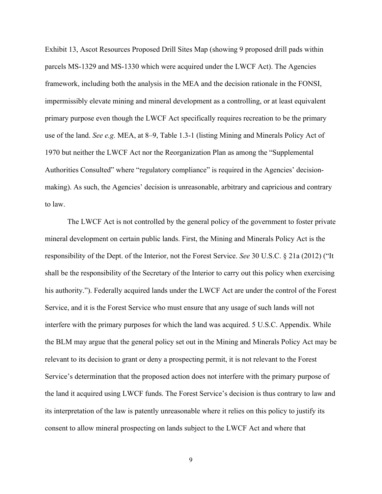Exhibit 13, Ascot Resources Proposed Drill Sites Map (showing 9 proposed drill pads within parcels MS-1329 and MS-1330 which were acquired under the LWCF Act). The Agencies framework, including both the analysis in the MEA and the decision rationale in the FONSI, impermissibly elevate mining and mineral development as a controlling, or at least equivalent primary purpose even though the LWCF Act specifically requires recreation to be the primary use of the land. *See e.g.* MEA, at 8–9, Table 1.3-1 (listing Mining and Minerals Policy Act of 1970 but neither the LWCF Act nor the Reorganization Plan as among the "Supplemental Authorities Consulted" where "regulatory compliance" is required in the Agencies' decisionmaking). As such, the Agencies' decision is unreasonable, arbitrary and capricious and contrary to law.

The LWCF Act is not controlled by the general policy of the government to foster private mineral development on certain public lands. First, the Mining and Minerals Policy Act is the responsibility of the Dept. of the Interior, not the Forest Service. *See* 30 U.S.C. § 21a (2012) ("It shall be the responsibility of the Secretary of the Interior to carry out this policy when exercising his authority."). Federally acquired lands under the LWCF Act are under the control of the Forest Service, and it is the Forest Service who must ensure that any usage of such lands will not interfere with the primary purposes for which the land was acquired. 5 U.S.C. Appendix. While the BLM may argue that the general policy set out in the Mining and Minerals Policy Act may be relevant to its decision to grant or deny a prospecting permit, it is not relevant to the Forest Service's determination that the proposed action does not interfere with the primary purpose of the land it acquired using LWCF funds. The Forest Service's decision is thus contrary to law and its interpretation of the law is patently unreasonable where it relies on this policy to justify its consent to allow mineral prospecting on lands subject to the LWCF Act and where that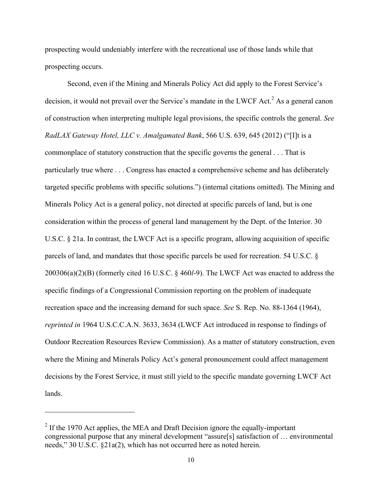prospecting would undeniably interfere with the recreational use of those lands while that prospecting occurs.

Second, even if the Mining and Minerals Policy Act did apply to the Forest Service's decision, it would not prevail over the Service's mandate in the LWCF Act.<sup>2</sup> As a general canon of construction when interpreting multiple legal provisions, the specific controls the general. *See RadLAX Gateway Hotel, LLC v. Amalgamated Bank*, 566 U.S. 639, 645 (2012) ("[I]t is a commonplace of statutory construction that the specific governs the general . . . That is particularly true where . . . Congress has enacted a comprehensive scheme and has deliberately targeted specific problems with specific solutions.") (internal citations omitted). The Mining and Minerals Policy Act is a general policy, not directed at specific parcels of land, but is one consideration within the process of general land management by the Dept. of the Interior. 30 U.S.C. § 21a. In contrast, the LWCF Act is a specific program, allowing acquisition of specific parcels of land, and mandates that those specific parcels be used for recreation. 54 U.S.C. § 200306(a)(2)(B) (formerly cited 16 U.S.C. § 460*l*-9). The LWCF Act was enacted to address the specific findings of a Congressional Commission reporting on the problem of inadequate recreation space and the increasing demand for such space. *See* S. Rep. No. 88-1364 (1964), *reprinted in* 1964 U.S.C.C.A.N. 3633, 3634 (LWCF Act introduced in response to findings of Outdoor Recreation Resources Review Commission). As a matter of statutory construction, even where the Mining and Minerals Policy Act's general pronouncement could affect management decisions by the Forest Service, it must still yield to the specific mandate governing LWCF Act lands.

l

 $2$  If the 1970 Act applies, the MEA and Draft Decision ignore the equally-important congressional purpose that any mineral development "assure[s] satisfaction of … environmental needs," 30 U.S.C. §21a(2), which has not occurred here as noted herein.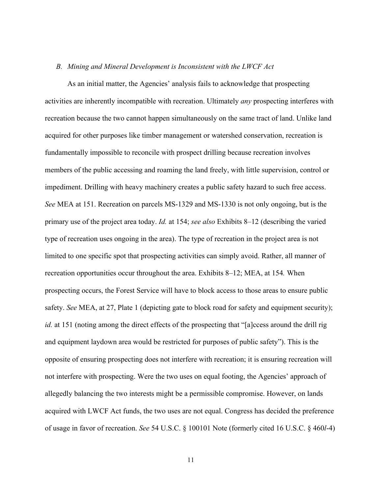#### *B. Mining and Mineral Development is Inconsistent with the LWCF Act*

As an initial matter, the Agencies' analysis fails to acknowledge that prospecting activities are inherently incompatible with recreation. Ultimately *any* prospecting interferes with recreation because the two cannot happen simultaneously on the same tract of land. Unlike land acquired for other purposes like timber management or watershed conservation, recreation is fundamentally impossible to reconcile with prospect drilling because recreation involves members of the public accessing and roaming the land freely, with little supervision, control or impediment. Drilling with heavy machinery creates a public safety hazard to such free access. *See* MEA at 151. Recreation on parcels MS-1329 and MS-1330 is not only ongoing, but is the primary use of the project area today. *Id.* at 154; *see also* Exhibits 8–12 (describing the varied type of recreation uses ongoing in the area). The type of recreation in the project area is not limited to one specific spot that prospecting activities can simply avoid. Rather, all manner of recreation opportunities occur throughout the area. Exhibits 8–12; MEA, at 154*.* When prospecting occurs, the Forest Service will have to block access to those areas to ensure public safety. *See* MEA, at 27, Plate 1 (depicting gate to block road for safety and equipment security); *id.* at 151 (noting among the direct effects of the prospecting that "[a]ccess around the drill rig and equipment laydown area would be restricted for purposes of public safety"). This is the opposite of ensuring prospecting does not interfere with recreation; it is ensuring recreation will not interfere with prospecting. Were the two uses on equal footing, the Agencies' approach of allegedly balancing the two interests might be a permissible compromise. However, on lands acquired with LWCF Act funds, the two uses are not equal. Congress has decided the preference of usage in favor of recreation. *See* 54 U.S.C. § 100101 Note (formerly cited 16 U.S.C. § 460*l*-4)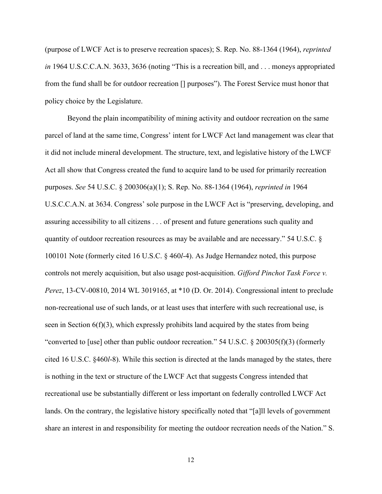(purpose of LWCF Act is to preserve recreation spaces); S. Rep. No. 88-1364 (1964), *reprinted in* 1964 U.S.C.C.A.N. 3633, 3636 (noting "This is a recreation bill, and . . . moneys appropriated from the fund shall be for outdoor recreation [] purposes"). The Forest Service must honor that policy choice by the Legislature.

Beyond the plain incompatibility of mining activity and outdoor recreation on the same parcel of land at the same time, Congress' intent for LWCF Act land management was clear that it did not include mineral development. The structure, text, and legislative history of the LWCF Act all show that Congress created the fund to acquire land to be used for primarily recreation purposes. *See* 54 U.S.C. § 200306(a)(1); S. Rep. No. 88-1364 (1964), *reprinted in* 1964 U.S.C.C.A.N. at 3634. Congress' sole purpose in the LWCF Act is "preserving, developing, and assuring accessibility to all citizens . . . of present and future generations such quality and quantity of outdoor recreation resources as may be available and are necessary." 54 U.S.C. § 100101 Note (formerly cited 16 U.S.C. § 460*l*-4). As Judge Hernandez noted, this purpose controls not merely acquisition, but also usage post-acquisition. *Gifford Pinchot Task Force v. Perez*, 13-CV-00810, 2014 WL 3019165, at \*10 (D. Or. 2014). Congressional intent to preclude non-recreational use of such lands, or at least uses that interfere with such recreational use, is seen in Section  $6(f)(3)$ , which expressly prohibits land acquired by the states from being "converted to [use] other than public outdoor recreation." 54 U.S.C. § 200305(f)(3) (formerly cited 16 U.S.C. §460*l*-8). While this section is directed at the lands managed by the states, there is nothing in the text or structure of the LWCF Act that suggests Congress intended that recreational use be substantially different or less important on federally controlled LWCF Act lands. On the contrary, the legislative history specifically noted that "[a]ll levels of government share an interest in and responsibility for meeting the outdoor recreation needs of the Nation." S.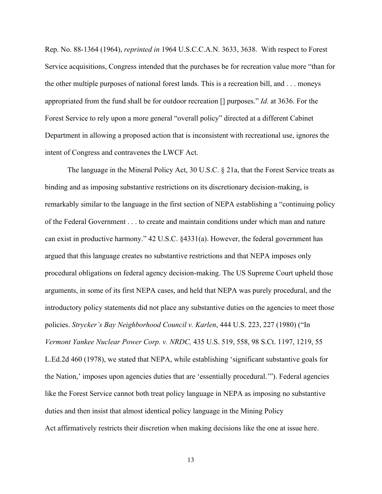Rep. No. 88-1364 (1964), *reprinted in* 1964 U.S.C.C.A.N. 3633, 3638. With respect to Forest Service acquisitions, Congress intended that the purchases be for recreation value more "than for the other multiple purposes of national forest lands. This is a recreation bill, and . . . moneys appropriated from the fund shall be for outdoor recreation [] purposes." *Id.* at 3636. For the Forest Service to rely upon a more general "overall policy" directed at a different Cabinet Department in allowing a proposed action that is inconsistent with recreational use, ignores the intent of Congress and contravenes the LWCF Act.

The language in the Mineral Policy Act, 30 U.S.C. § 21a, that the Forest Service treats as binding and as imposing substantive restrictions on its discretionary decision-making, is remarkably similar to the language in the first section of NEPA establishing a "continuing policy of the Federal Government . . . to create and maintain conditions under which man and nature can exist in productive harmony." 42 U.S.C. §4331(a). However, the federal government has argued that this language creates no substantive restrictions and that NEPA imposes only procedural obligations on federal agency decision-making. The US Supreme Court upheld those arguments, in some of its first NEPA cases, and held that NEPA was purely procedural, and the introductory policy statements did not place any substantive duties on the agencies to meet those policies. *Strycker's Bay Neighborhood Council v. Karlen*, 444 U.S. 223, 227 (1980) ("In *Vermont Yankee Nuclear Power Corp. v. NRDC,* 435 U.S. 519, 558, 98 S.Ct. 1197, 1219, 55 L.Ed.2d 460 (1978), we stated that NEPA, while establishing 'significant substantive goals for the Nation,' imposes upon agencies duties that are 'essentially procedural.'"). Federal agencies like the Forest Service cannot both treat policy language in NEPA as imposing no substantive duties and then insist that almost identical policy language in the Mining Policy Act affirmatively restricts their discretion when making decisions like the one at issue here.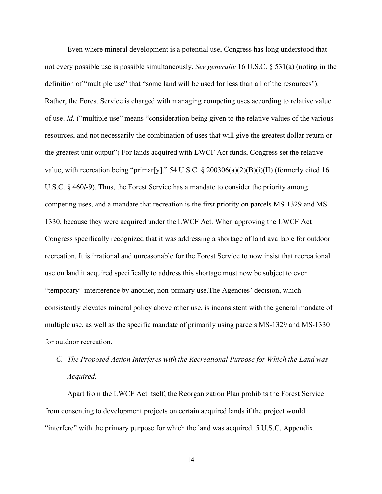Even where mineral development is a potential use, Congress has long understood that not every possible use is possible simultaneously. *See generally* 16 U.S.C. § 531(a) (noting in the definition of "multiple use" that "some land will be used for less than all of the resources"). Rather, the Forest Service is charged with managing competing uses according to relative value of use. *Id.* ("multiple use" means "consideration being given to the relative values of the various resources, and not necessarily the combination of uses that will give the greatest dollar return or the greatest unit output") For lands acquired with LWCF Act funds, Congress set the relative value, with recreation being "primar[y]." 54 U.S.C. § 200306(a)(2)(B)(i)(II) (formerly cited 16 U.S.C. § 460*l*-9). Thus, the Forest Service has a mandate to consider the priority among competing uses, and a mandate that recreation is the first priority on parcels MS-1329 and MS-1330, because they were acquired under the LWCF Act. When approving the LWCF Act Congress specifically recognized that it was addressing a shortage of land available for outdoor recreation. It is irrational and unreasonable for the Forest Service to now insist that recreational use on land it acquired specifically to address this shortage must now be subject to even "temporary" interference by another, non-primary use.The Agencies' decision, which consistently elevates mineral policy above other use, is inconsistent with the general mandate of multiple use, as well as the specific mandate of primarily using parcels MS-1329 and MS-1330 for outdoor recreation.

# *C. The Proposed Action Interferes with the Recreational Purpose for Which the Land was Acquired.*

Apart from the LWCF Act itself, the Reorganization Plan prohibits the Forest Service from consenting to development projects on certain acquired lands if the project would "interfere" with the primary purpose for which the land was acquired. 5 U.S.C. Appendix.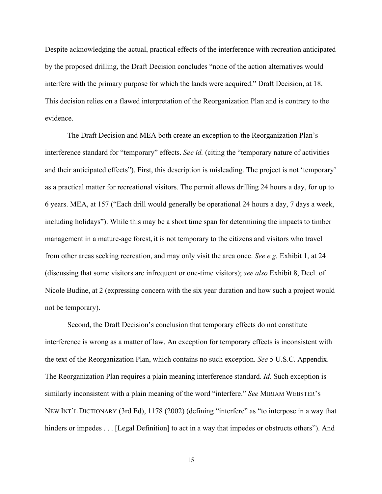Despite acknowledging the actual, practical effects of the interference with recreation anticipated by the proposed drilling, the Draft Decision concludes "none of the action alternatives would interfere with the primary purpose for which the lands were acquired." Draft Decision, at 18. This decision relies on a flawed interpretation of the Reorganization Plan and is contrary to the evidence.

The Draft Decision and MEA both create an exception to the Reorganization Plan's interference standard for "temporary" effects. *See id.* (citing the "temporary nature of activities and their anticipated effects"). First, this description is misleading. The project is not 'temporary' as a practical matter for recreational visitors. The permit allows drilling 24 hours a day, for up to 6 years. MEA, at 157 ("Each drill would generally be operational 24 hours a day, 7 days a week, including holidays"). While this may be a short time span for determining the impacts to timber management in a mature-age forest, it is not temporary to the citizens and visitors who travel from other areas seeking recreation, and may only visit the area once. *See e.g.* Exhibit 1, at 24 (discussing that some visitors are infrequent or one-time visitors); *see also* Exhibit 8, Decl. of Nicole Budine, at 2 (expressing concern with the six year duration and how such a project would not be temporary).

Second, the Draft Decision's conclusion that temporary effects do not constitute interference is wrong as a matter of law. An exception for temporary effects is inconsistent with the text of the Reorganization Plan, which contains no such exception. *See* 5 U.S.C. Appendix. The Reorganization Plan requires a plain meaning interference standard. *Id.* Such exception is similarly inconsistent with a plain meaning of the word "interfere." *See* MIRIAM WEBSTER'S NEW INT'L DICTIONARY (3rd Ed), 1178 (2002) (defining "interfere" as "to interpose in a way that hinders or impedes . . . [Legal Definition] to act in a way that impedes or obstructs others"). And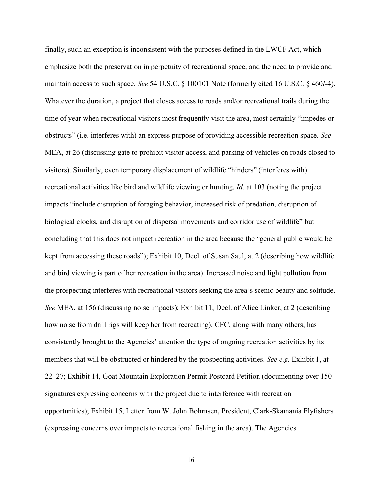finally, such an exception is inconsistent with the purposes defined in the LWCF Act, which emphasize both the preservation in perpetuity of recreational space, and the need to provide and maintain access to such space. *See* 54 U.S.C. § 100101 Note (formerly cited 16 U.S.C. § 460*l*-4). Whatever the duration, a project that closes access to roads and/or recreational trails during the time of year when recreational visitors most frequently visit the area, most certainly "impedes or obstructs" (i.e. interferes with) an express purpose of providing accessible recreation space. *See*  MEA, at 26 (discussing gate to prohibit visitor access, and parking of vehicles on roads closed to visitors). Similarly, even temporary displacement of wildlife "hinders" (interferes with) recreational activities like bird and wildlife viewing or hunting. *Id.* at 103 (noting the project impacts "include disruption of foraging behavior, increased risk of predation, disruption of biological clocks, and disruption of dispersal movements and corridor use of wildlife" but concluding that this does not impact recreation in the area because the "general public would be kept from accessing these roads"); Exhibit 10, Decl. of Susan Saul, at 2 (describing how wildlife and bird viewing is part of her recreation in the area). Increased noise and light pollution from the prospecting interferes with recreational visitors seeking the area's scenic beauty and solitude. *See* MEA, at 156 (discussing noise impacts); Exhibit 11, Decl. of Alice Linker, at 2 (describing how noise from drill rigs will keep her from recreating). CFC, along with many others, has consistently brought to the Agencies' attention the type of ongoing recreation activities by its members that will be obstructed or hindered by the prospecting activities. *See e.g.* Exhibit 1, at 22–27; Exhibit 14, Goat Mountain Exploration Permit Postcard Petition (documenting over 150 signatures expressing concerns with the project due to interference with recreation opportunities); Exhibit 15, Letter from W. John Bohrnsen, President, Clark-Skamania Flyfishers (expressing concerns over impacts to recreational fishing in the area). The Agencies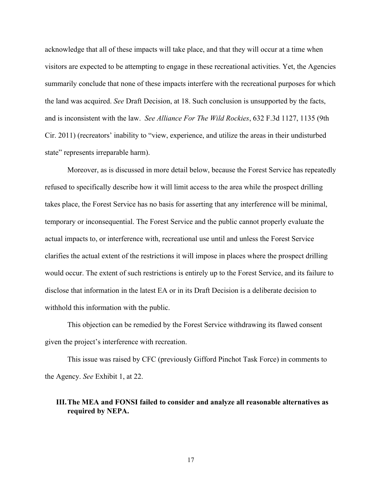acknowledge that all of these impacts will take place, and that they will occur at a time when visitors are expected to be attempting to engage in these recreational activities. Yet, the Agencies summarily conclude that none of these impacts interfere with the recreational purposes for which the land was acquired. *See* Draft Decision, at 18. Such conclusion is unsupported by the facts, and is inconsistent with the law. *See Alliance For The Wild Rockies*, 632 F.3d 1127, 1135 (9th Cir. 2011) (recreators' inability to "view, experience, and utilize the areas in their undisturbed state" represents irreparable harm).

Moreover, as is discussed in more detail below, because the Forest Service has repeatedly refused to specifically describe how it will limit access to the area while the prospect drilling takes place, the Forest Service has no basis for asserting that any interference will be minimal, temporary or inconsequential. The Forest Service and the public cannot properly evaluate the actual impacts to, or interference with, recreational use until and unless the Forest Service clarifies the actual extent of the restrictions it will impose in places where the prospect drilling would occur. The extent of such restrictions is entirely up to the Forest Service, and its failure to disclose that information in the latest EA or in its Draft Decision is a deliberate decision to withhold this information with the public.

This objection can be remedied by the Forest Service withdrawing its flawed consent given the project's interference with recreation.

This issue was raised by CFC (previously Gifford Pinchot Task Force) in comments to the Agency. *See* Exhibit 1, at 22.

### **III.The MEA and FONSI failed to consider and analyze all reasonable alternatives as required by NEPA.**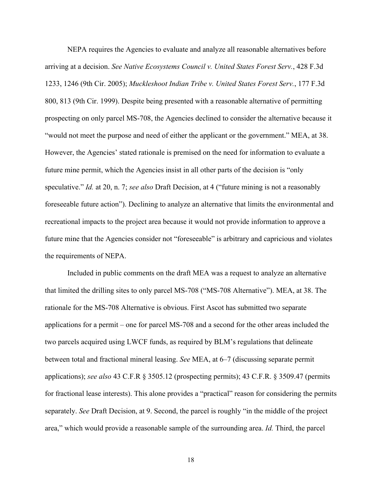NEPA requires the Agencies to evaluate and analyze all reasonable alternatives before arriving at a decision. *See Native Ecosystems Council v. United States Forest Serv.*, 428 F.3d 1233, 1246 (9th Cir. 2005); *Muckleshoot Indian Tribe v. United States Forest Serv.*, 177 F.3d 800, 813 (9th Cir. 1999). Despite being presented with a reasonable alternative of permitting prospecting on only parcel MS-708, the Agencies declined to consider the alternative because it "would not meet the purpose and need of either the applicant or the government." MEA, at 38. However, the Agencies' stated rationale is premised on the need for information to evaluate a future mine permit, which the Agencies insist in all other parts of the decision is "only speculative." *Id.* at 20, n. 7; *see also* Draft Decision, at 4 ("future mining is not a reasonably foreseeable future action"). Declining to analyze an alternative that limits the environmental and recreational impacts to the project area because it would not provide information to approve a future mine that the Agencies consider not "foreseeable" is arbitrary and capricious and violates the requirements of NEPA.

Included in public comments on the draft MEA was a request to analyze an alternative that limited the drilling sites to only parcel MS-708 ("MS-708 Alternative"). MEA, at 38. The rationale for the MS-708 Alternative is obvious. First Ascot has submitted two separate applications for a permit – one for parcel MS-708 and a second for the other areas included the two parcels acquired using LWCF funds, as required by BLM's regulations that delineate between total and fractional mineral leasing. *See* MEA, at 6–7 (discussing separate permit applications); *see also* 43 C.F.R § 3505.12 (prospecting permits); 43 C.F.R. § 3509.47 (permits for fractional lease interests). This alone provides a "practical" reason for considering the permits separately. *See* Draft Decision, at 9. Second, the parcel is roughly "in the middle of the project area," which would provide a reasonable sample of the surrounding area. *Id.* Third, the parcel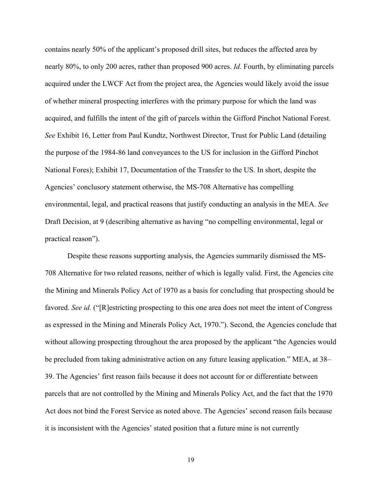contains nearly 50% of the applicant's proposed drill sites, but reduces the affected area by nearly 80%, to only 200 acres, rather than proposed 900 acres. *Id.* Fourth, by eliminating parcels acquired under the LWCF Act from the project area, the Agencies would likely avoid the issue of whether mineral prospecting interferes with the primary purpose for which the land was acquired, and fulfills the intent of the gift of parcels within the Gifford Pinchot National Forest. *See* Exhibit 16, Letter from Paul Kundtz, Northwest Director, Trust for Public Land (detailing the purpose of the 1984-86 land conveyances to the US for inclusion in the Gifford Pinchot National Fores); Exhibit 17, Documentation of the Transfer to the US. In short, despite the Agencies' conclusory statement otherwise, the MS-708 Alternative has compelling environmental, legal, and practical reasons that justify conducting an analysis in the MEA. *See*  Draft Decision, at 9 (describing alternative as having "no compelling environmental, legal or practical reason").

Despite these reasons supporting analysis, the Agencies summarily dismissed the MS-708 Alternative for two related reasons, neither of which is legally valid. First, the Agencies cite the Mining and Minerals Policy Act of 1970 as a basis for concluding that prospecting should be favored. *See id.* ("[R]estricting prospecting to this one area does not meet the intent of Congress as expressed in the Mining and Minerals Policy Act, 1970."). Second, the Agencies conclude that without allowing prospecting throughout the area proposed by the applicant "the Agencies would be precluded from taking administrative action on any future leasing application." MEA, at 38– 39. The Agencies' first reason fails because it does not account for or differentiate between parcels that are not controlled by the Mining and Minerals Policy Act, and the fact that the 1970 Act does not bind the Forest Service as noted above. The Agencies' second reason fails because it is inconsistent with the Agencies' stated position that a future mine is not currently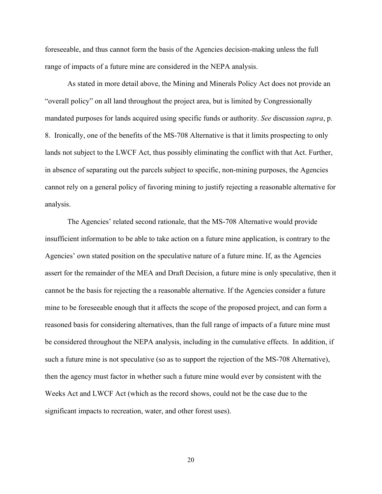foreseeable, and thus cannot form the basis of the Agencies decision-making unless the full range of impacts of a future mine are considered in the NEPA analysis.

As stated in more detail above, the Mining and Minerals Policy Act does not provide an "overall policy" on all land throughout the project area, but is limited by Congressionally mandated purposes for lands acquired using specific funds or authority. *See* discussion *supra*, p. 8. Ironically, one of the benefits of the MS-708 Alternative is that it limits prospecting to only lands not subject to the LWCF Act, thus possibly eliminating the conflict with that Act. Further, in absence of separating out the parcels subject to specific, non-mining purposes, the Agencies cannot rely on a general policy of favoring mining to justify rejecting a reasonable alternative for analysis.

The Agencies' related second rationale, that the MS-708 Alternative would provide insufficient information to be able to take action on a future mine application, is contrary to the Agencies' own stated position on the speculative nature of a future mine. If, as the Agencies assert for the remainder of the MEA and Draft Decision, a future mine is only speculative, then it cannot be the basis for rejecting the a reasonable alternative. If the Agencies consider a future mine to be foreseeable enough that it affects the scope of the proposed project, and can form a reasoned basis for considering alternatives, than the full range of impacts of a future mine must be considered throughout the NEPA analysis, including in the cumulative effects. In addition, if such a future mine is not speculative (so as to support the rejection of the MS-708 Alternative), then the agency must factor in whether such a future mine would ever by consistent with the Weeks Act and LWCF Act (which as the record shows, could not be the case due to the significant impacts to recreation, water, and other forest uses).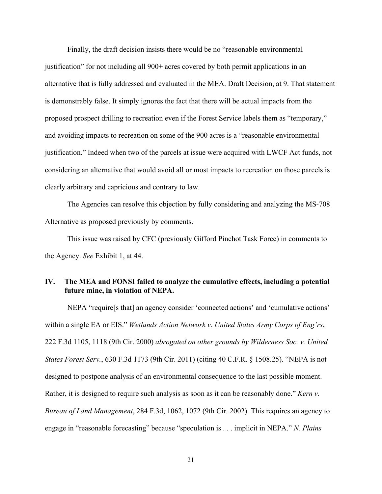Finally, the draft decision insists there would be no "reasonable environmental justification" for not including all 900+ acres covered by both permit applications in an alternative that is fully addressed and evaluated in the MEA. Draft Decision, at 9. That statement is demonstrably false. It simply ignores the fact that there will be actual impacts from the proposed prospect drilling to recreation even if the Forest Service labels them as "temporary," and avoiding impacts to recreation on some of the 900 acres is a "reasonable environmental justification." Indeed when two of the parcels at issue were acquired with LWCF Act funds, not considering an alternative that would avoid all or most impacts to recreation on those parcels is clearly arbitrary and capricious and contrary to law.

The Agencies can resolve this objection by fully considering and analyzing the MS-708 Alternative as proposed previously by comments.

This issue was raised by CFC (previously Gifford Pinchot Task Force) in comments to the Agency. *See* Exhibit 1, at 44.

## **IV. The MEA and FONSI failed to analyze the cumulative effects, including a potential future mine, in violation of NEPA.**

NEPA "require[s that] an agency consider 'connected actions' and 'cumulative actions' within a single EA or EIS." *Wetlands Action Network v. United States Army Corps of Eng'rs*, 222 F.3d 1105, 1118 (9th Cir. 2000) *abrogated on other grounds by Wilderness Soc. v. United States Forest Serv.*, 630 F.3d 1173 (9th Cir. 2011) (citing 40 C.F.R. § 1508.25). "NEPA is not designed to postpone analysis of an environmental consequence to the last possible moment. Rather, it is designed to require such analysis as soon as it can be reasonably done." *Kern v. Bureau of Land Management*, 284 F.3d, 1062, 1072 (9th Cir. 2002). This requires an agency to engage in "reasonable forecasting" because "speculation is . . . implicit in NEPA." *N. Plains*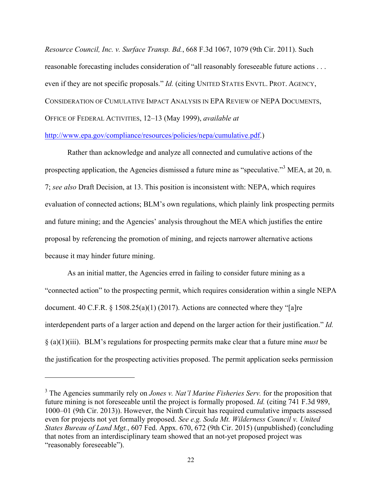*Resource Council, Inc. v. Surface Transp. Bd.*, 668 F.3d 1067, 1079 (9th Cir. 2011). Such reasonable forecasting includes consideration of "all reasonably foreseeable future actions . . . even if they are not specific proposals." *Id.* (citing UNITED STATES ENVTL. PROT. AGENCY, CONSIDERATION OF CUMULATIVE IMPACT ANALYSIS IN EPA REVIEW OF NEPA DOCUMENTS, OFFICE OF FEDERAL ACTIVITIES, 12–13 (May 1999), *available at*

#### http://www.epa.gov/compliance/resources/policies/nepa/cumulative.pdf.)

Rather than acknowledge and analyze all connected and cumulative actions of the prospecting application, the Agencies dismissed a future mine as "speculative."<sup>3</sup> MEA, at 20, n. 7; *see also* Draft Decision, at 13. This position is inconsistent with: NEPA, which requires evaluation of connected actions; BLM's own regulations, which plainly link prospecting permits and future mining; and the Agencies' analysis throughout the MEA which justifies the entire proposal by referencing the promotion of mining, and rejects narrower alternative actions because it may hinder future mining.

As an initial matter, the Agencies erred in failing to consider future mining as a "connected action" to the prospecting permit, which requires consideration within a single NEPA document. 40 C.F.R. § 1508.25(a)(1) (2017). Actions are connected where they "[a]re interdependent parts of a larger action and depend on the larger action for their justification." *Id.* § (a)(1)(iii). BLM's regulations for prospecting permits make clear that a future mine *must* be the justification for the prospecting activities proposed. The permit application seeks permission

l

<sup>3</sup> The Agencies summarily rely on *Jones v. Nat'l Marine Fisheries Serv.* for the proposition that future mining is not foreseeable until the project is formally proposed. *Id.* (citing 741 F.3d 989, 1000–01 (9th Cir. 2013)). However, the Ninth Circuit has required cumulative impacts assessed even for projects not yet formally proposed. *See e.g. Soda Mt. Wilderness Council v. United States Bureau of Land Mgt.*, 607 Fed. Appx. 670, 672 (9th Cir. 2015) (unpublished) (concluding that notes from an interdisciplinary team showed that an not-yet proposed project was "reasonably foreseeable").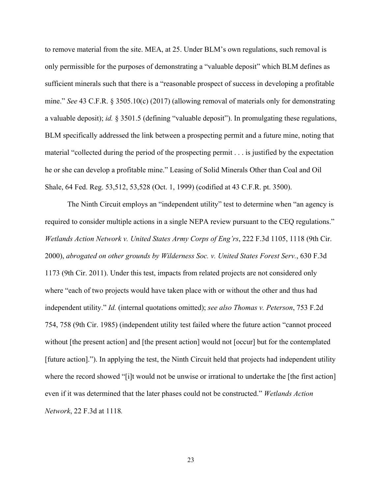to remove material from the site. MEA, at 25. Under BLM's own regulations, such removal is only permissible for the purposes of demonstrating a "valuable deposit" which BLM defines as sufficient minerals such that there is a "reasonable prospect of success in developing a profitable mine." *See* 43 C.F.R. § 3505.10(c) (2017) (allowing removal of materials only for demonstrating a valuable deposit); *id.* § 3501.5 (defining "valuable deposit"). In promulgating these regulations, BLM specifically addressed the link between a prospecting permit and a future mine, noting that material "collected during the period of the prospecting permit . . . is justified by the expectation he or she can develop a profitable mine." Leasing of Solid Minerals Other than Coal and Oil Shale, 64 Fed. Reg. 53,512, 53,528 (Oct. 1, 1999) (codified at 43 C.F.R. pt. 3500).

The Ninth Circuit employs an "independent utility" test to determine when "an agency is required to consider multiple actions in a single NEPA review pursuant to the CEQ regulations." *Wetlands Action Network v. United States Army Corps of Eng'rs*, 222 F.3d 1105, 1118 (9th Cir. 2000), *abrogated on other grounds by Wilderness Soc. v. United States Forest Serv.*, 630 F.3d 1173 (9th Cir. 2011). Under this test, impacts from related projects are not considered only where "each of two projects would have taken place with or without the other and thus had independent utility." *Id.* (internal quotations omitted); *see also Thomas v. Peterson*, 753 F.2d 754, 758 (9th Cir. 1985) (independent utility test failed where the future action "cannot proceed without [the present action] and [the present action] would not [occur] but for the contemplated [future action]."). In applying the test, the Ninth Circuit held that projects had independent utility where the record showed "[i]t would not be unwise or irrational to undertake the [the first action] even if it was determined that the later phases could not be constructed." *Wetlands Action Network*, 22 F.3d at 1118*.*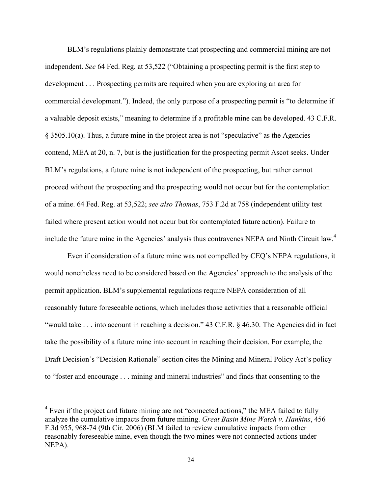BLM's regulations plainly demonstrate that prospecting and commercial mining are not independent. *See* 64 Fed. Reg. at 53,522 ("Obtaining a prospecting permit is the first step to development . . . Prospecting permits are required when you are exploring an area for commercial development."). Indeed, the only purpose of a prospecting permit is "to determine if a valuable deposit exists," meaning to determine if a profitable mine can be developed. 43 C.F.R. § 3505.10(a). Thus, a future mine in the project area is not "speculative" as the Agencies contend, MEA at 20, n. 7, but is the justification for the prospecting permit Ascot seeks. Under BLM's regulations, a future mine is not independent of the prospecting, but rather cannot proceed without the prospecting and the prospecting would not occur but for the contemplation of a mine. 64 Fed. Reg. at 53,522; *see also Thomas*, 753 F.2d at 758 (independent utility test failed where present action would not occur but for contemplated future action). Failure to include the future mine in the Agencies' analysis thus contravenes NEPA and Ninth Circuit law.<sup>4</sup>

Even if consideration of a future mine was not compelled by CEQ's NEPA regulations, it would nonetheless need to be considered based on the Agencies' approach to the analysis of the permit application. BLM's supplemental regulations require NEPA consideration of all reasonably future foreseeable actions, which includes those activities that a reasonable official "would take . . . into account in reaching a decision." 43 C.F.R. § 46.30. The Agencies did in fact take the possibility of a future mine into account in reaching their decision. For example, the Draft Decision's "Decision Rationale" section cites the Mining and Mineral Policy Act's policy to "foster and encourage . . . mining and mineral industries" and finds that consenting to the

 $\overline{a}$ 

 $4$  Even if the project and future mining are not "connected actions," the MEA failed to fully analyze the cumulative impacts from future mining. *Great Basin Mine Watch v. Hankins*, 456 F.3d 955, 968-74 (9th Cir. 2006) (BLM failed to review cumulative impacts from other reasonably foreseeable mine, even though the two mines were not connected actions under NEPA).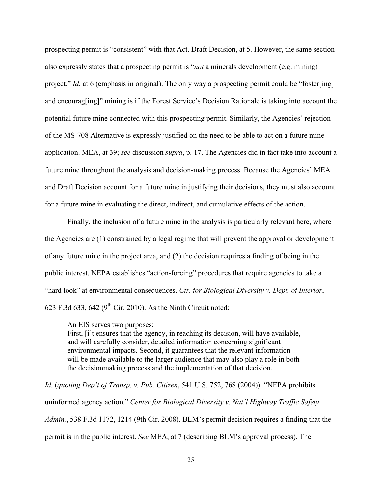prospecting permit is "consistent" with that Act. Draft Decision, at 5. However, the same section also expressly states that a prospecting permit is "*not* a minerals development (e.g. mining) project." *Id.* at 6 (emphasis in original). The only way a prospecting permit could be "foster[ing] and encourag[ing]" mining is if the Forest Service's Decision Rationale is taking into account the potential future mine connected with this prospecting permit. Similarly, the Agencies' rejection of the MS-708 Alternative is expressly justified on the need to be able to act on a future mine application. MEA, at 39; *see* discussion *supra*, p. 17. The Agencies did in fact take into account a future mine throughout the analysis and decision-making process. Because the Agencies' MEA and Draft Decision account for a future mine in justifying their decisions, they must also account for a future mine in evaluating the direct, indirect, and cumulative effects of the action.

Finally, the inclusion of a future mine in the analysis is particularly relevant here, where the Agencies are (1) constrained by a legal regime that will prevent the approval or development of any future mine in the project area, and (2) the decision requires a finding of being in the public interest. NEPA establishes "action-forcing" procedures that require agencies to take a "hard look" at environmental consequences. *Ctr. for Biological Diversity v. Dept. of Interior*, 623 F.3d 633, 642 ( $9<sup>th</sup>$  Cir. 2010). As the Ninth Circuit noted:

An EIS serves two purposes:

First, [i]t ensures that the agency, in reaching its decision, will have available, and will carefully consider, detailed information concerning significant environmental impacts. Second, it guarantees that the relevant information will be made available to the larger audience that may also play a role in both the decisionmaking process and the implementation of that decision.

*Id.* (*quoting Dep't of Transp. v. Pub. Citizen*, 541 U.S. 752, 768 (2004)). "NEPA prohibits uninformed agency action." *Center for Biological Diversity v. Nat'l Highway Traffic Safety Admin.*, 538 F.3d 1172, 1214 (9th Cir. 2008). BLM's permit decision requires a finding that the permit is in the public interest. *See* MEA, at 7 (describing BLM's approval process). The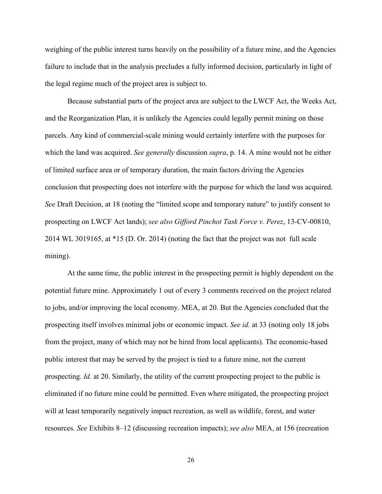weighing of the public interest turns heavily on the possibility of a future mine, and the Agencies failure to include that in the analysis precludes a fully informed decision, particularly in light of the legal regime much of the project area is subject to.

Because substantial parts of the project area are subject to the LWCF Act, the Weeks Act, and the Reorganization Plan, it is unlikely the Agencies could legally permit mining on those parcels. Any kind of commercial-scale mining would certainly interfere with the purposes for which the land was acquired. *See generally* discussion *supra*, p. 14. A mine would not be either of limited surface area or of temporary duration, the main factors driving the Agencies conclusion that prospecting does not interfere with the purpose for which the land was acquired. *See* Draft Decision, at 18 (noting the "limited scope and temporary nature" to justify consent to prospecting on LWCF Act lands); *see also Gifford Pinchot Task Force v. Perez*, 13-CV-00810, 2014 WL 3019165, at \*15 (D. Or. 2014) (noting the fact that the project was not full scale mining).

At the same time, the public interest in the prospecting permit is highly dependent on the potential future mine. Approximately 1 out of every 3 comments received on the project related to jobs, and/or improving the local economy. MEA, at 20. But the Agencies concluded that the prospecting itself involves minimal jobs or economic impact. *See id.* at 33 (noting only 18 jobs from the project, many of which may not be hired from local applicants). The economic-based public interest that may be served by the project is tied to a future mine, not the current prospecting. *Id.* at 20. Similarly, the utility of the current prospecting project to the public is eliminated if no future mine could be permitted. Even where mitigated, the prospecting project will at least temporarily negatively impact recreation, as well as wildlife, forest, and water resources. *See* Exhibits 8–12 (discussing recreation impacts); *see also* MEA, at 156 (recreation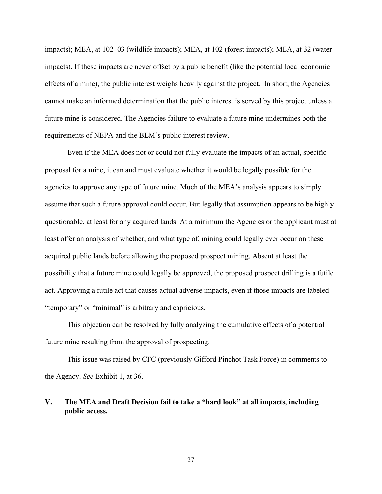impacts); MEA, at 102–03 (wildlife impacts); MEA, at 102 (forest impacts); MEA, at 32 (water impacts). If these impacts are never offset by a public benefit (like the potential local economic effects of a mine), the public interest weighs heavily against the project. In short, the Agencies cannot make an informed determination that the public interest is served by this project unless a future mine is considered. The Agencies failure to evaluate a future mine undermines both the requirements of NEPA and the BLM's public interest review.

Even if the MEA does not or could not fully evaluate the impacts of an actual, specific proposal for a mine, it can and must evaluate whether it would be legally possible for the agencies to approve any type of future mine. Much of the MEA's analysis appears to simply assume that such a future approval could occur. But legally that assumption appears to be highly questionable, at least for any acquired lands. At a minimum the Agencies or the applicant must at least offer an analysis of whether, and what type of, mining could legally ever occur on these acquired public lands before allowing the proposed prospect mining. Absent at least the possibility that a future mine could legally be approved, the proposed prospect drilling is a futile act. Approving a futile act that causes actual adverse impacts, even if those impacts are labeled "temporary" or "minimal" is arbitrary and capricious.

This objection can be resolved by fully analyzing the cumulative effects of a potential future mine resulting from the approval of prospecting.

This issue was raised by CFC (previously Gifford Pinchot Task Force) in comments to the Agency. *See* Exhibit 1, at 36.

# **V. The MEA and Draft Decision fail to take a "hard look" at all impacts, including public access.**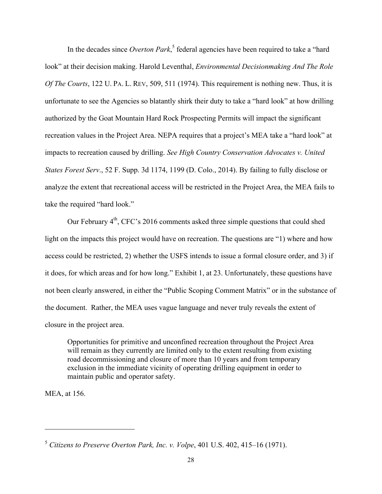In the decades since *Overton Park*, <sup>5</sup> federal agencies have been required to take a "hard look" at their decision making. Harold Leventhal, *Environmental Decisionmaking And The Role Of The Courts*, 122 U. PA. L. REV, 509, 511 (1974). This requirement is nothing new. Thus, it is unfortunate to see the Agencies so blatantly shirk their duty to take a "hard look" at how drilling authorized by the Goat Mountain Hard Rock Prospecting Permits will impact the significant recreation values in the Project Area. NEPA requires that a project's MEA take a "hard look" at impacts to recreation caused by drilling. *See High Country Conservation Advocates v. United States Forest Serv*., 52 F. Supp. 3d 1174, 1199 (D. Colo., 2014). By failing to fully disclose or analyze the extent that recreational access will be restricted in the Project Area, the MEA fails to take the required "hard look."

Our February  $4<sup>th</sup>$ , CFC's 2016 comments asked three simple questions that could shed light on the impacts this project would have on recreation. The questions are "1) where and how access could be restricted, 2) whether the USFS intends to issue a formal closure order, and 3) if it does, for which areas and for how long." Exhibit 1, at 23. Unfortunately, these questions have not been clearly answered, in either the "Public Scoping Comment Matrix" or in the substance of the document. Rather, the MEA uses vague language and never truly reveals the extent of closure in the project area.

Opportunities for primitive and unconfined recreation throughout the Project Area will remain as they currently are limited only to the extent resulting from existing road decommissioning and closure of more than 10 years and from temporary exclusion in the immediate vicinity of operating drilling equipment in order to maintain public and operator safety.

MEA, at 156.

l

<sup>5</sup> *Citizens to Preserve Overton Park, Inc. v. Volpe*, 401 U.S. 402, 415–16 (1971).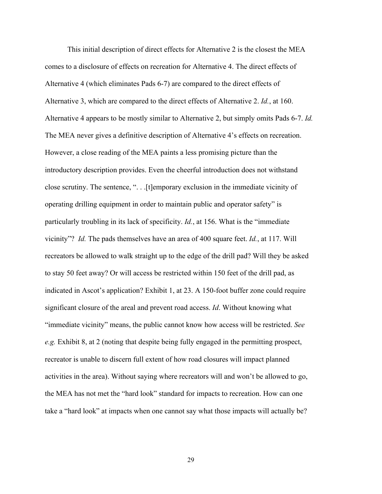This initial description of direct effects for Alternative 2 is the closest the MEA comes to a disclosure of effects on recreation for Alternative 4. The direct effects of Alternative 4 (which eliminates Pads 6-7) are compared to the direct effects of Alternative 3, which are compared to the direct effects of Alternative 2. *Id.*, at 160. Alternative 4 appears to be mostly similar to Alternative 2, but simply omits Pads 6-7. *Id.* The MEA never gives a definitive description of Alternative 4's effects on recreation. However, a close reading of the MEA paints a less promising picture than the introductory description provides. Even the cheerful introduction does not withstand close scrutiny. The sentence, ". . .[t]emporary exclusion in the immediate vicinity of operating drilling equipment in order to maintain public and operator safety" is particularly troubling in its lack of specificity. *Id.*, at 156. What is the "immediate vicinity"? *Id.* The pads themselves have an area of 400 square feet. *Id.*, at 117. Will recreators be allowed to walk straight up to the edge of the drill pad? Will they be asked to stay 50 feet away? Or will access be restricted within 150 feet of the drill pad, as indicated in Ascot's application? Exhibit 1, at 23. A 150-foot buffer zone could require significant closure of the areal and prevent road access. *Id*. Without knowing what "immediate vicinity" means, the public cannot know how access will be restricted. *See e.g.* Exhibit 8, at 2 (noting that despite being fully engaged in the permitting prospect, recreator is unable to discern full extent of how road closures will impact planned activities in the area). Without saying where recreators will and won't be allowed to go, the MEA has not met the "hard look" standard for impacts to recreation. How can one take a "hard look" at impacts when one cannot say what those impacts will actually be?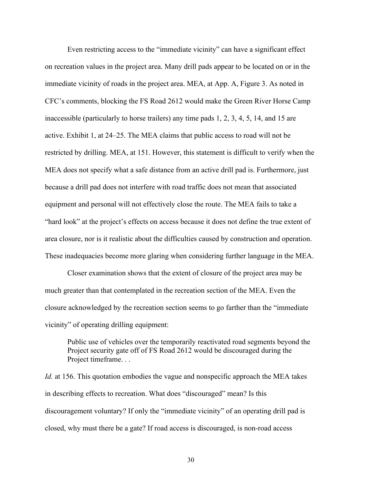Even restricting access to the "immediate vicinity" can have a significant effect on recreation values in the project area. Many drill pads appear to be located on or in the immediate vicinity of roads in the project area. MEA, at App. A, Figure 3. As noted in CFC's comments, blocking the FS Road 2612 would make the Green River Horse Camp inaccessible (particularly to horse trailers) any time pads 1, 2, 3, 4, 5, 14, and 15 are active. Exhibit 1, at 24–25. The MEA claims that public access to road will not be restricted by drilling. MEA, at 151. However, this statement is difficult to verify when the MEA does not specify what a safe distance from an active drill pad is. Furthermore, just because a drill pad does not interfere with road traffic does not mean that associated equipment and personal will not effectively close the route. The MEA fails to take a "hard look" at the project's effects on access because it does not define the true extent of area closure, nor is it realistic about the difficulties caused by construction and operation. These inadequacies become more glaring when considering further language in the MEA.

Closer examination shows that the extent of closure of the project area may be much greater than that contemplated in the recreation section of the MEA. Even the closure acknowledged by the recreation section seems to go farther than the "immediate vicinity" of operating drilling equipment:

Public use of vehicles over the temporarily reactivated road segments beyond the Project security gate off of FS Road 2612 would be discouraged during the Project timeframe. . .

*Id.* at 156. This quotation embodies the vague and nonspecific approach the MEA takes in describing effects to recreation. What does "discouraged" mean? Is this discouragement voluntary? If only the "immediate vicinity" of an operating drill pad is closed, why must there be a gate? If road access is discouraged, is non-road access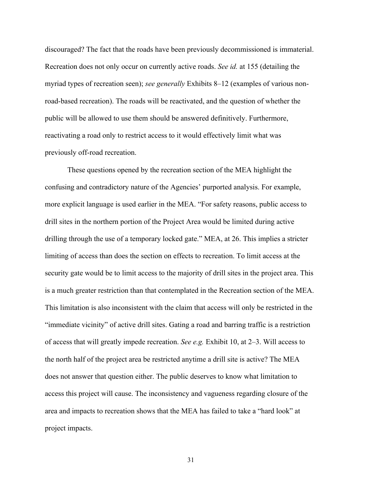discouraged? The fact that the roads have been previously decommissioned is immaterial. Recreation does not only occur on currently active roads. *See id.* at 155 (detailing the myriad types of recreation seen); *see generally* Exhibits 8–12 (examples of various nonroad-based recreation). The roads will be reactivated, and the question of whether the public will be allowed to use them should be answered definitively. Furthermore, reactivating a road only to restrict access to it would effectively limit what was previously off-road recreation.

These questions opened by the recreation section of the MEA highlight the confusing and contradictory nature of the Agencies' purported analysis. For example, more explicit language is used earlier in the MEA. "For safety reasons, public access to drill sites in the northern portion of the Project Area would be limited during active drilling through the use of a temporary locked gate." MEA, at 26. This implies a stricter limiting of access than does the section on effects to recreation. To limit access at the security gate would be to limit access to the majority of drill sites in the project area. This is a much greater restriction than that contemplated in the Recreation section of the MEA. This limitation is also inconsistent with the claim that access will only be restricted in the "immediate vicinity" of active drill sites. Gating a road and barring traffic is a restriction of access that will greatly impede recreation. *See e.g.* Exhibit 10, at 2–3. Will access to the north half of the project area be restricted anytime a drill site is active? The MEA does not answer that question either. The public deserves to know what limitation to access this project will cause. The inconsistency and vagueness regarding closure of the area and impacts to recreation shows that the MEA has failed to take a "hard look" at project impacts.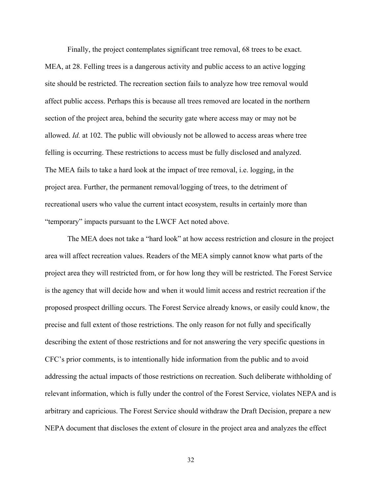Finally, the project contemplates significant tree removal, 68 trees to be exact. MEA, at 28. Felling trees is a dangerous activity and public access to an active logging site should be restricted. The recreation section fails to analyze how tree removal would affect public access. Perhaps this is because all trees removed are located in the northern section of the project area, behind the security gate where access may or may not be allowed. *Id.* at 102. The public will obviously not be allowed to access areas where tree felling is occurring. These restrictions to access must be fully disclosed and analyzed. The MEA fails to take a hard look at the impact of tree removal, i.e. logging, in the project area. Further, the permanent removal/logging of trees, to the detriment of recreational users who value the current intact ecosystem, results in certainly more than "temporary" impacts pursuant to the LWCF Act noted above.

The MEA does not take a "hard look" at how access restriction and closure in the project area will affect recreation values. Readers of the MEA simply cannot know what parts of the project area they will restricted from, or for how long they will be restricted. The Forest Service is the agency that will decide how and when it would limit access and restrict recreation if the proposed prospect drilling occurs. The Forest Service already knows, or easily could know, the precise and full extent of those restrictions. The only reason for not fully and specifically describing the extent of those restrictions and for not answering the very specific questions in CFC's prior comments, is to intentionally hide information from the public and to avoid addressing the actual impacts of those restrictions on recreation. Such deliberate withholding of relevant information, which is fully under the control of the Forest Service, violates NEPA and is arbitrary and capricious. The Forest Service should withdraw the Draft Decision, prepare a new NEPA document that discloses the extent of closure in the project area and analyzes the effect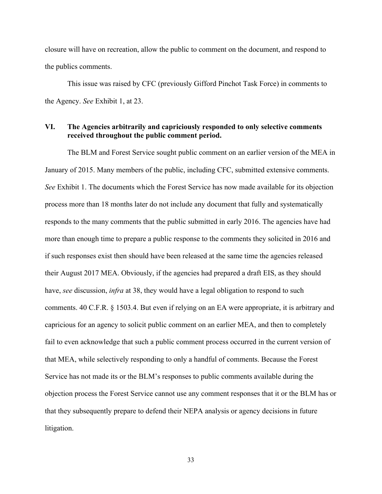closure will have on recreation, allow the public to comment on the document, and respond to the publics comments.

This issue was raised by CFC (previously Gifford Pinchot Task Force) in comments to the Agency. *See* Exhibit 1, at 23.

#### **VI. The Agencies arbitrarily and capriciously responded to only selective comments received throughout the public comment period.**

The BLM and Forest Service sought public comment on an earlier version of the MEA in January of 2015. Many members of the public, including CFC, submitted extensive comments. *See* Exhibit 1. The documents which the Forest Service has now made available for its objection process more than 18 months later do not include any document that fully and systematically responds to the many comments that the public submitted in early 2016. The agencies have had more than enough time to prepare a public response to the comments they solicited in 2016 and if such responses exist then should have been released at the same time the agencies released their August 2017 MEA. Obviously, if the agencies had prepared a draft EIS, as they should have, *see* discussion, *infra* at 38, they would have a legal obligation to respond to such comments. 40 C.F.R. § 1503.4. But even if relying on an EA were appropriate, it is arbitrary and capricious for an agency to solicit public comment on an earlier MEA, and then to completely fail to even acknowledge that such a public comment process occurred in the current version of that MEA, while selectively responding to only a handful of comments. Because the Forest Service has not made its or the BLM's responses to public comments available during the objection process the Forest Service cannot use any comment responses that it or the BLM has or that they subsequently prepare to defend their NEPA analysis or agency decisions in future litigation.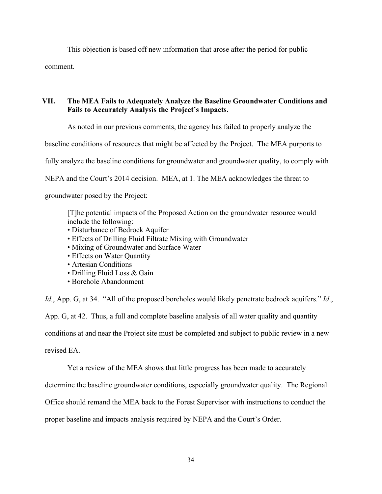This objection is based off new information that arose after the period for public comment.

### **VII. The MEA Fails to Adequately Analyze the Baseline Groundwater Conditions and Fails to Accurately Analysis the Project's Impacts.**

As noted in our previous comments, the agency has failed to properly analyze the

baseline conditions of resources that might be affected by the Project. The MEA purports to

fully analyze the baseline conditions for groundwater and groundwater quality, to comply with

NEPA and the Court's 2014 decision. MEA, at 1. The MEA acknowledges the threat to

groundwater posed by the Project:

[T]he potential impacts of the Proposed Action on the groundwater resource would include the following:

- Disturbance of Bedrock Aquifer
- Effects of Drilling Fluid Filtrate Mixing with Groundwater
- Mixing of Groundwater and Surface Water
- Effects on Water Quantity
- Artesian Conditions
- Drilling Fluid Loss & Gain
- Borehole Abandonment

*Id.*, App. G, at 34. "All of the proposed boreholes would likely penetrate bedrock aquifers." *Id*., App. G, at 42. Thus, a full and complete baseline analysis of all water quality and quantity conditions at and near the Project site must be completed and subject to public review in a new revised EA.

Yet a review of the MEA shows that little progress has been made to accurately

determine the baseline groundwater conditions, especially groundwater quality. The Regional

Office should remand the MEA back to the Forest Supervisor with instructions to conduct the

proper baseline and impacts analysis required by NEPA and the Court's Order.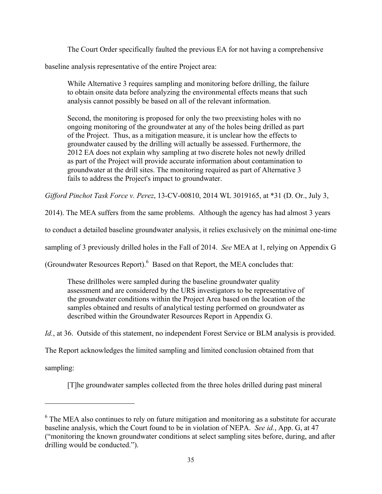The Court Order specifically faulted the previous EA for not having a comprehensive

baseline analysis representative of the entire Project area:

While Alternative 3 requires sampling and monitoring before drilling, the failure to obtain onsite data before analyzing the environmental effects means that such analysis cannot possibly be based on all of the relevant information.

Second, the monitoring is proposed for only the two preexisting holes with no ongoing monitoring of the groundwater at any of the holes being drilled as part of the Project. Thus, as a mitigation measure, it is unclear how the effects to groundwater caused by the drilling will actually be assessed. Furthermore, the 2012 EA does not explain why sampling at two discrete holes not newly drilled as part of the Project will provide accurate information about contamination to groundwater at the drill sites. The monitoring required as part of Alternative 3 fails to address the Project's impact to groundwater.

*Gifford Pinchot Task Force v. Perez*, 13-CV-00810, 2014 WL 3019165, at \*31 (D. Or., July 3,

2014). The MEA suffers from the same problems. Although the agency has had almost 3 years

to conduct a detailed baseline groundwater analysis, it relies exclusively on the minimal one-time

sampling of 3 previously drilled holes in the Fall of 2014. *See* MEA at 1, relying on Appendix G

(Groundwater Resources Report). <sup>6</sup> Based on that Report, the MEA concludes that:

These drillholes were sampled during the baseline groundwater quality assessment and are considered by the URS investigators to be representative of the groundwater conditions within the Project Area based on the location of the samples obtained and results of analytical testing performed on groundwater as described within the Groundwater Resources Report in Appendix G.

*Id.*, at 36. Outside of this statement, no independent Forest Service or BLM analysis is provided.

The Report acknowledges the limited sampling and limited conclusion obtained from that

sampling:

 $\overline{a}$ 

[T]he groundwater samples collected from the three holes drilled during past mineral

 $6$  The MEA also continues to rely on future mitigation and monitoring as a substitute for accurate baseline analysis, which the Court found to be in violation of NEPA. *See id.*, App. G, at 47 ("monitoring the known groundwater conditions at select sampling sites before, during, and after drilling would be conducted.").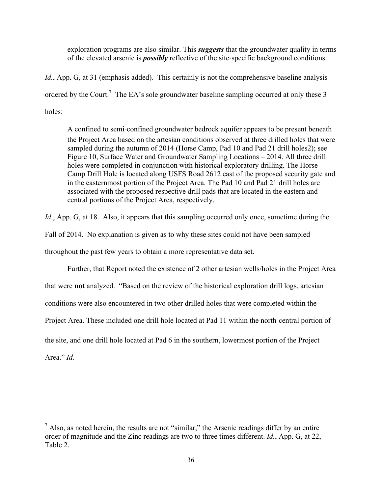exploration programs are also similar. This *suggests* that the groundwater quality in terms of the elevated arsenic is *possibly* reflective of the site‐specific background conditions.

*Id.*, App. G, at 31 (emphasis added). This certainly is not the comprehensive baseline analysis ordered by the Court.<sup>7</sup> The EA's sole groundwater baseline sampling occurred at only these 3 holes:

A confined to semi‐confined groundwater bedrock aquifer appears to be present beneath the Project Area based on the artesian conditions observed at three drilled holes that were sampled during the autumn of 2014 (Horse Camp, Pad 10 and Pad 21 drill holes2); see Figure 10, Surface Water and Groundwater Sampling Locations – 2014. All three drill holes were completed in conjunction with historical exploratory drilling. The Horse Camp Drill Hole is located along USFS Road 2612 east of the proposed security gate and in the easternmost portion of the Project Area. The Pad 10 and Pad 21 drill holes are associated with the proposed respective drill pads that are located in the eastern and central portions of the Project Area, respectively.

*Id.*, App. G, at 18. Also, it appears that this sampling occurred only once, sometime during the

Fall of 2014. No explanation is given as to why these sites could not have been sampled

throughout the past few years to obtain a more representative data set.

Further, that Report noted the existence of 2 other artesian wells/holes in the Project Area

that were **not** analyzed. "Based on the review of the historical exploration drill logs, artesian

conditions were also encountered in two other drilled holes that were completed within the

Project Area. These included one drill hole located at Pad 11 within the north-central portion of

the site, and one drill hole located at Pad 6 in the southern, lowermost portion of the Project

Area." *Id*.

l

 $<sup>7</sup>$  Also, as noted herein, the results are not "similar," the Arsenic readings differ by an entire</sup> order of magnitude and the Zinc readings are two to three times different. *Id.*, App. G, at 22, Table 2.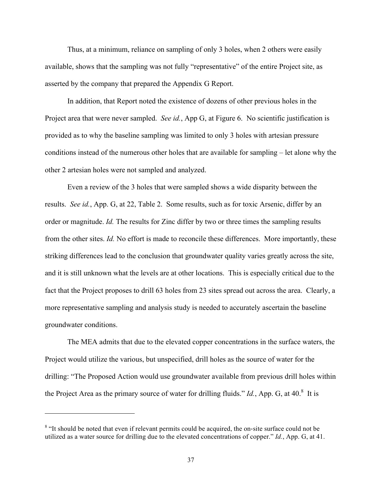Thus, at a minimum, reliance on sampling of only 3 holes, when 2 others were easily available, shows that the sampling was not fully "representative" of the entire Project site, as asserted by the company that prepared the Appendix G Report.

In addition, that Report noted the existence of dozens of other previous holes in the Project area that were never sampled. *See id.*, App G, at Figure 6. No scientific justification is provided as to why the baseline sampling was limited to only 3 holes with artesian pressure conditions instead of the numerous other holes that are available for sampling – let alone why the other 2 artesian holes were not sampled and analyzed.

Even a review of the 3 holes that were sampled shows a wide disparity between the results. *See id.*, App. G, at 22, Table 2. Some results, such as for toxic Arsenic, differ by an order or magnitude. *Id.* The results for Zinc differ by two or three times the sampling results from the other sites. *Id.* No effort is made to reconcile these differences. More importantly, these striking differences lead to the conclusion that groundwater quality varies greatly across the site, and it is still unknown what the levels are at other locations. This is especially critical due to the fact that the Project proposes to drill 63 holes from 23 sites spread out across the area. Clearly, a more representative sampling and analysis study is needed to accurately ascertain the baseline groundwater conditions.

The MEA admits that due to the elevated copper concentrations in the surface waters, the Project would utilize the various, but unspecified, drill holes as the source of water for the drilling: "The Proposed Action would use groundwater available from previous drill holes within the Project Area as the primary source of water for drilling fluids." *Id.*, App. G, at  $40$ .<sup>8</sup> It is

l

<sup>&</sup>lt;sup>8</sup> "It should be noted that even if relevant permits could be acquired, the on-site surface could not be utilized as a water source for drilling due to the elevated concentrations of copper." *Id.*, App. G, at 41.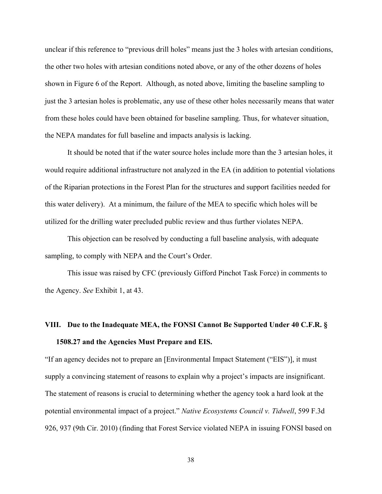unclear if this reference to "previous drill holes" means just the 3 holes with artesian conditions, the other two holes with artesian conditions noted above, or any of the other dozens of holes shown in Figure 6 of the Report. Although, as noted above, limiting the baseline sampling to just the 3 artesian holes is problematic, any use of these other holes necessarily means that water from these holes could have been obtained for baseline sampling. Thus, for whatever situation, the NEPA mandates for full baseline and impacts analysis is lacking.

It should be noted that if the water source holes include more than the 3 artesian holes, it would require additional infrastructure not analyzed in the EA (in addition to potential violations of the Riparian protections in the Forest Plan for the structures and support facilities needed for this water delivery). At a minimum, the failure of the MEA to specific which holes will be utilized for the drilling water precluded public review and thus further violates NEPA.

This objection can be resolved by conducting a full baseline analysis, with adequate sampling, to comply with NEPA and the Court's Order.

This issue was raised by CFC (previously Gifford Pinchot Task Force) in comments to the Agency. *See* Exhibit 1, at 43.

# **VIII. Due to the Inadequate MEA, the FONSI Cannot Be Supported Under 40 C.F.R. § 1508.27 and the Agencies Must Prepare and EIS.**

"If an agency decides not to prepare an [Environmental Impact Statement ("EIS")], it must supply a convincing statement of reasons to explain why a project's impacts are insignificant. The statement of reasons is crucial to determining whether the agency took a hard look at the potential environmental impact of a project." *Native Ecosystems Council v. Tidwell*, 599 F.3d 926, 937 (9th Cir. 2010) (finding that Forest Service violated NEPA in issuing FONSI based on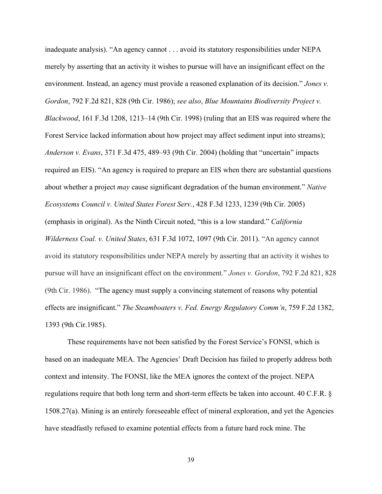inadequate analysis). "An agency cannot . . . avoid its statutory responsibilities under NEPA merely by asserting that an activity it wishes to pursue will have an insignificant effect on the environment. Instead, an agency must provide a reasoned explanation of its decision." *Jones v. Gordon*, 792 F.2d 821, 828 (9th Cir. 1986); *see also*, *Blue Mountains Biodiversity Project v. Blackwood*, 161 F.3d 1208, 1213–14 (9th Cir. 1998) (ruling that an EIS was required where the Forest Service lacked information about how project may affect sediment input into streams); *Anderson v. Evans*, 371 F.3d 475, 489–93 (9th Cir. 2004) (holding that "uncertain" impacts required an EIS). "An agency is required to prepare an EIS when there are substantial questions about whether a project *may* cause significant degradation of the human environment." *Native Ecosystems Council v. United States Forest Serv.*, 428 F.3d 1233, 1239 (9th Cir. 2005) (emphasis in original). As the Ninth Circuit noted, "this is a low standard." *California Wilderness Coal. v. United States*, 631 F.3d 1072, 1097 (9th Cir. 2011). "An agency cannot avoid its statutory responsibilities under NEPA merely by asserting that an activity it wishes to pursue will have an insignificant effect on the environment." *Jones v. Gordon*, 792 F.2d 821, 828 (9th Cir. 1986). "The agency must supply a convincing statement of reasons why potential effects are insignificant." *The Steamboaters v. Fed. Energy Regulatory Comm'n*, 759 F.2d 1382, 1393 (9th Cir.1985).

These requirements have not been satisfied by the Forest Service's FONSI, which is based on an inadequate MEA. The Agencies' Draft Decision has failed to properly address both context and intensity. The FONSI, like the MEA ignores the context of the project. NEPA regulations require that both long term and short-term effects be taken into account. 40 C.F.R. § 1508.27(a). Mining is an entirely foreseeable effect of mineral exploration, and yet the Agencies have steadfastly refused to examine potential effects from a future hard rock mine. The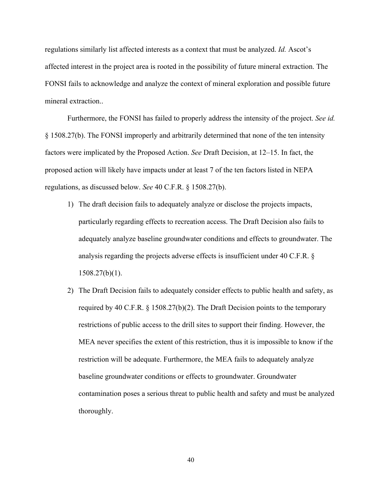regulations similarly list affected interests as a context that must be analyzed. *Id.* Ascot's affected interest in the project area is rooted in the possibility of future mineral extraction. The FONSI fails to acknowledge and analyze the context of mineral exploration and possible future mineral extraction..

Furthermore, the FONSI has failed to properly address the intensity of the project. *See id.*  § 1508.27(b). The FONSI improperly and arbitrarily determined that none of the ten intensity factors were implicated by the Proposed Action. *See* Draft Decision, at 12–15. In fact, the proposed action will likely have impacts under at least 7 of the ten factors listed in NEPA regulations, as discussed below. *See* 40 C.F.R. § 1508.27(b).

- 1) The draft decision fails to adequately analyze or disclose the projects impacts, particularly regarding effects to recreation access. The Draft Decision also fails to adequately analyze baseline groundwater conditions and effects to groundwater. The analysis regarding the projects adverse effects is insufficient under 40 C.F.R. §  $1508.27(b)(1)$ .
- 2) The Draft Decision fails to adequately consider effects to public health and safety, as required by 40 C.F.R.  $\S 1508.27(b)(2)$ . The Draft Decision points to the temporary restrictions of public access to the drill sites to support their finding. However, the MEA never specifies the extent of this restriction, thus it is impossible to know if the restriction will be adequate. Furthermore, the MEA fails to adequately analyze baseline groundwater conditions or effects to groundwater. Groundwater contamination poses a serious threat to public health and safety and must be analyzed thoroughly.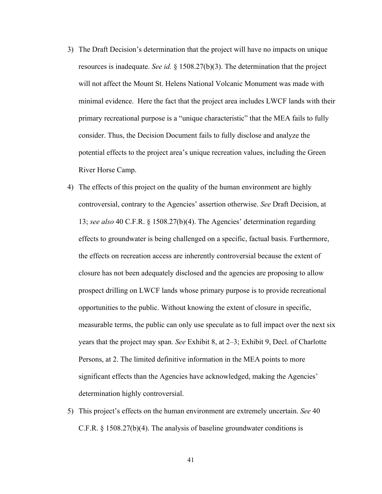- 3) The Draft Decision's determination that the project will have no impacts on unique resources is inadequate. *See id.* § 1508.27(b)(3). The determination that the project will not affect the Mount St. Helens National Volcanic Monument was made with minimal evidence. Here the fact that the project area includes LWCF lands with their primary recreational purpose is a "unique characteristic" that the MEA fails to fully consider. Thus, the Decision Document fails to fully disclose and analyze the potential effects to the project area's unique recreation values, including the Green River Horse Camp.
- 4) The effects of this project on the quality of the human environment are highly controversial, contrary to the Agencies' assertion otherwise. *See* Draft Decision, at 13; *see also* 40 C.F.R. § 1508.27(b)(4). The Agencies' determination regarding effects to groundwater is being challenged on a specific, factual basis. Furthermore, the effects on recreation access are inherently controversial because the extent of closure has not been adequately disclosed and the agencies are proposing to allow prospect drilling on LWCF lands whose primary purpose is to provide recreational opportunities to the public. Without knowing the extent of closure in specific, measurable terms, the public can only use speculate as to full impact over the next six years that the project may span. *See* Exhibit 8, at 2–3; Exhibit 9, Decl. of Charlotte Persons, at 2. The limited definitive information in the MEA points to more significant effects than the Agencies have acknowledged, making the Agencies' determination highly controversial.
- 5) This project's effects on the human environment are extremely uncertain. *See* 40 C.F.R. § 1508.27(b)(4). The analysis of baseline groundwater conditions is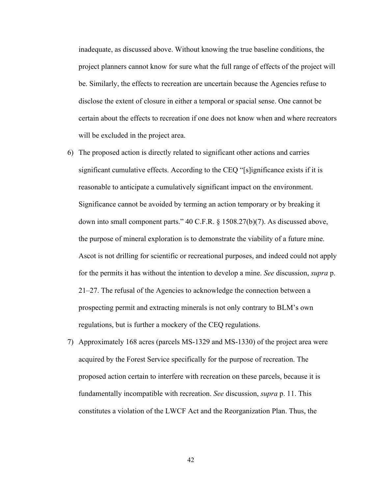inadequate, as discussed above. Without knowing the true baseline conditions, the project planners cannot know for sure what the full range of effects of the project will be. Similarly, the effects to recreation are uncertain because the Agencies refuse to disclose the extent of closure in either a temporal or spacial sense. One cannot be certain about the effects to recreation if one does not know when and where recreators will be excluded in the project area.

- 6) The proposed action is directly related to significant other actions and carries significant cumulative effects. According to the CEQ "[s]ignificance exists if it is reasonable to anticipate a cumulatively significant impact on the environment. Significance cannot be avoided by terming an action temporary or by breaking it down into small component parts." 40 C.F.R. § 1508.27(b)(7). As discussed above, the purpose of mineral exploration is to demonstrate the viability of a future mine. Ascot is not drilling for scientific or recreational purposes, and indeed could not apply for the permits it has without the intention to develop a mine. *See* discussion, *supra* p. 21–27. The refusal of the Agencies to acknowledge the connection between a prospecting permit and extracting minerals is not only contrary to BLM's own regulations, but is further a mockery of the CEQ regulations.
- 7) Approximately 168 acres (parcels MS-1329 and MS-1330) of the project area were acquired by the Forest Service specifically for the purpose of recreation. The proposed action certain to interfere with recreation on these parcels, because it is fundamentally incompatible with recreation. *See* discussion, *supra* p. 11. This constitutes a violation of the LWCF Act and the Reorganization Plan. Thus, the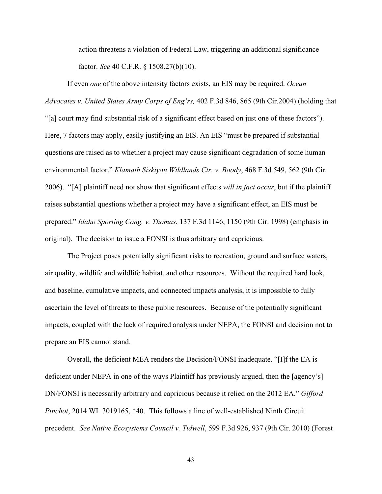action threatens a violation of Federal Law, triggering an additional significance factor. *See* 40 C.F.R. § 1508.27(b)(10).

If even *one* of the above intensity factors exists, an EIS may be required. *Ocean Advocates v. United States Army Corps of Eng'rs,* 402 F.3d 846, 865 (9th Cir.2004) (holding that "[a] court may find substantial risk of a significant effect based on just one of these factors"). Here, 7 factors may apply, easily justifying an EIS. An EIS "must be prepared if substantial questions are raised as to whether a project may cause significant degradation of some human environmental factor." *Klamath Siskiyou Wildlands Ctr. v. Boody*, 468 F.3d 549, 562 (9th Cir. 2006). "[A] plaintiff need not show that significant effects *will in fact occur*, but if the plaintiff raises substantial questions whether a project may have a significant effect, an EIS must be prepared." *Idaho Sporting Cong. v. Thomas*, 137 F.3d 1146, 1150 (9th Cir. 1998) (emphasis in original). The decision to issue a FONSI is thus arbitrary and capricious.

The Project poses potentially significant risks to recreation, ground and surface waters, air quality, wildlife and wildlife habitat, and other resources. Without the required hard look, and baseline, cumulative impacts, and connected impacts analysis, it is impossible to fully ascertain the level of threats to these public resources. Because of the potentially significant impacts, coupled with the lack of required analysis under NEPA, the FONSI and decision not to prepare an EIS cannot stand.

Overall, the deficient MEA renders the Decision/FONSI inadequate. "[I]f the EA is deficient under NEPA in one of the ways Plaintiff has previously argued, then the [agency's] DN/FONSI is necessarily arbitrary and capricious because it relied on the 2012 EA." *Gifford Pinchot*, 2014 WL 3019165, \*40. This follows a line of well-established Ninth Circuit precedent. *See Native Ecosystems Council v. Tidwell*, 599 F.3d 926, 937 (9th Cir. 2010) (Forest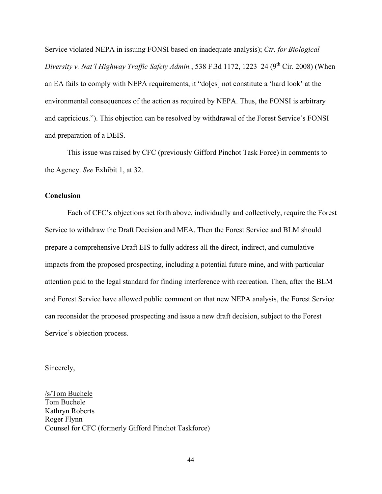Service violated NEPA in issuing FONSI based on inadequate analysis); *Ctr. for Biological Diversity v. Nat'l Highway Traffic Safety Admin.*, 538 F.3d 1172, 1223–24 (9<sup>th</sup> Cir. 2008) (When an EA fails to comply with NEPA requirements, it "do[es] not constitute a 'hard look' at the environmental consequences of the action as required by NEPA. Thus, the FONSI is arbitrary and capricious."). This objection can be resolved by withdrawal of the Forest Service's FONSI and preparation of a DEIS.

This issue was raised by CFC (previously Gifford Pinchot Task Force) in comments to the Agency. *See* Exhibit 1, at 32.

#### **Conclusion**

Each of CFC's objections set forth above, individually and collectively, require the Forest Service to withdraw the Draft Decision and MEA. Then the Forest Service and BLM should prepare a comprehensive Draft EIS to fully address all the direct, indirect, and cumulative impacts from the proposed prospecting, including a potential future mine, and with particular attention paid to the legal standard for finding interference with recreation. Then, after the BLM and Forest Service have allowed public comment on that new NEPA analysis, the Forest Service can reconsider the proposed prospecting and issue a new draft decision, subject to the Forest Service's objection process.

Sincerely,

/s/Tom Buchele Tom Buchele Kathryn Roberts Roger Flynn Counsel for CFC (formerly Gifford Pinchot Taskforce)